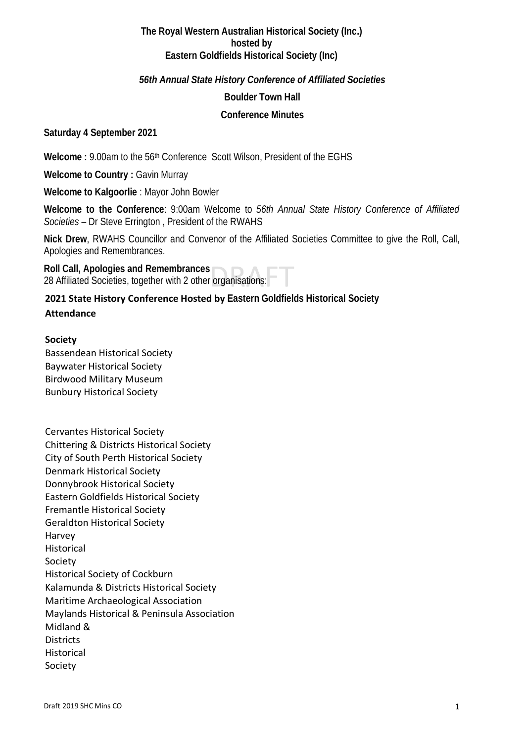## **The Royal Western Australian Historical Society (Inc.) hosted by Eastern Goldfields Historical Society (Inc)**

## *56th Annual State History Conference of Affiliated Societies*

## **Boulder Town Hall**

#### **Conference Minutes**

# **Saturday 4 September 2021**

Welcome : 9.00am to the 56<sup>th</sup> Conference Scott Wilson, President of the EGHS

**Welcome to Country :** Gavin Murray

**Welcome to Kalgoorlie** : Mayor John Bowler

**Welcome to the Conference**: 9:00am Welcome to *56th Annual State History Conference of Affiliated Societies* – Dr Steve Errington , President of the RWAHS

**Nick Drew**, RWAHS Councillor and Convenor of the Affiliated Societies Committee to give the Roll, Call, Apologies and Remembrances.

**Roll Call, Apologies and Remembrances**  28 Affiliated Societies, together with 2 other organisations:

# **2021 State History Conference Hosted by Eastern Goldfields Historical Society**

#### **Attendance**

#### **Society**

Bassendean Historical Society Baywater Historical Society Birdwood Military Museum Bunbury Historical Society

Cervantes Historical Society Chittering & Districts Historical Society City of South Perth Historical Society Denmark Historical Society Donnybrook Historical Society Eastern Goldfields Historical Society Fremantle Historical Society Geraldton Historical Society Harvey Historical Society Historical Society of Cockburn Kalamunda & Districts Historical Society Maritime Archaeological Association Maylands Historical & Peninsula Association Midland & **Districts Historical** Society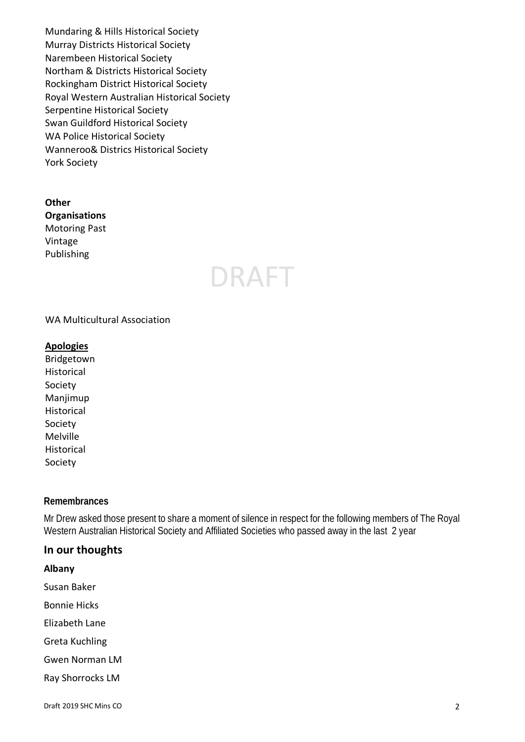Mundaring & Hills Historical Society Murray Districts Historical Society Narembeen Historical Society Northam & Districts Historical Society Rockingham District Historical Society Royal Western Australian Historical Society Serpentine Historical Society Swan Guildford Historical Society WA Police Historical Society Wanneroo& Districs Historical Society York Society

**Other Organisations** Motoring Past Vintage Publishing

# **DRAFT**

#### WA Multicultural Association

#### **Apologies**

Bridgetown Historical Society Manjimup Historical Society Melville Historical Society

#### **Remembrances**

Mr Drew asked those present to share a moment of silence in respect for the following members of The Royal Western Australian Historical Society and Affiliated Societies who passed away in the last 2 year

#### **In our thoughts**

**Albany**

Susan Baker

Bonnie Hicks

Elizabeth Lane

Greta Kuchling

Gwen Norman LM

Ray Shorrocks LM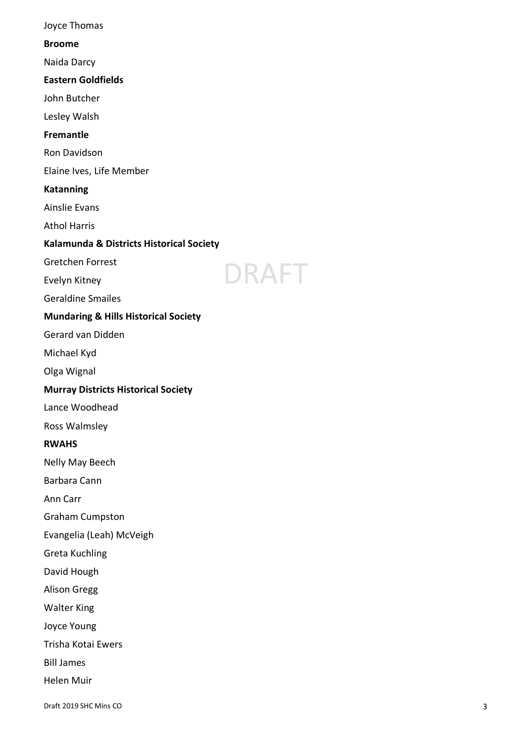Joyce Thomas **Broome** Naida Darcy **Eastern Goldfields** John Butcher Lesley Walsh **Fremantle** Ron Davidson Elaine Ives, Life Member **Katanning** Ainslie Evans Athol Harri s **Kalamunda & Districts Historical Society** Gretchen Forrest DRAFT Evelyn Kitney Geraldine Smailes **Mundaring & Hills Historical Society** Gerard van Didden Michael Kyd Olga Wignal **Murray Districts Historical Society** Lance Woodhead Ross Walmsley **RWAHS** Nelly May Beech Barbara Cann Ann Carr Graham Cumpston Evangelia (Leah) McVeigh Greta Kuchling David Hough Alison Gregg Walter King Joyce Young Trisha Kotai Ewers Bill James Helen Muir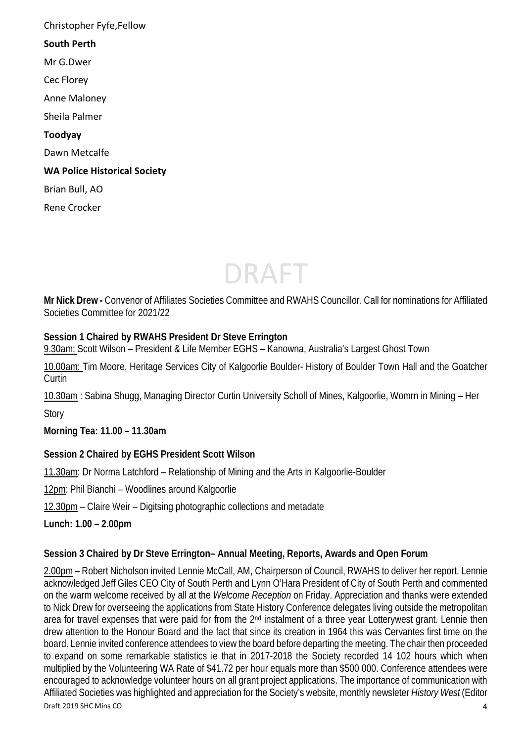Christopher Fyfe,Fellow **South Perth** Mr G.Dwer Cec Florey Anne Maloney Sheila Palmer **Toodyay** Dawn Metcalfe **WA Police Historical Society** Brian Bull, AO Rene Crocker



**Mr Nick Drew -** Convenor of Affiliates Societies Committee and RWAHS Councillor. Call for nominations for Affiliated Societies Committee for 2021/22

# **Session 1 Chaired by RWAHS President Dr Steve Errington**

9.30am: Scott Wilson – President & Life Member EGHS – Kanowna, Australia's Largest Ghost Town

10.00am: Tim Moore, Heritage Services City of Kalgoorlie Boulder- History of Boulder Town Hall and the Goatcher Curtin

10.30am : Sabina Shugg, Managing Director Curtin University Scholl of Mines, Kalgoorlie, Womrn in Mining – Her **Story** 

**Morning Tea: 11.00 – 11.30am**

# **Session 2 Chaired by EGHS President Scott Wilson**

11.30am: Dr Norma Latchford – Relationship of Mining and the Arts in Kalgoorlie-Boulder

12pm: Phil Bianchi – Woodlines around Kalgoorlie

12.30pm – Claire Weir – Digitsing photographic collections and metadate

**Lunch: 1.00 – 2.00pm**

# **Session 3 Chaired by Dr Steve Errington– Annual Meeting, Reports, Awards and Open Forum**

Draft 2019 SHC Mins CO 4 2.00pm – Robert Nicholson invited Lennie McCall, AM, Chairperson of Council, RWAHS to deliver her report. Lennie acknowledged Jeff Giles CEO City of South Perth and Lynn O'Hara President of City of South Perth and commented on the warm welcome received by all at the *Welcome Reception* on Friday. Appreciation and thanks were extended to Nick Drew for overseeing the applications from State History Conference delegates living outside the metropolitan area for travel expenses that were paid for from the 2<sup>nd</sup> instalment of a three year Lotterywest grant. Lennie then drew attention to the Honour Board and the fact that since its creation in 1964 this was Cervantes first time on the board. Lennie invited conference attendees to view the board before departing the meeting. The chair then proceeded to expand on some remarkable statistics ie that in 2017-2018 the Society recorded 14 102 hours which when multiplied by the Volunteering WA Rate of \$41.72 per hour equals more than \$500 000. Conference attendees were encouraged to acknowledge volunteer hours on all grant project applications. The importance of communication with Affiliated Societies was highlighted and appreciation for the Society's website, monthly newsleter *History West* (Editor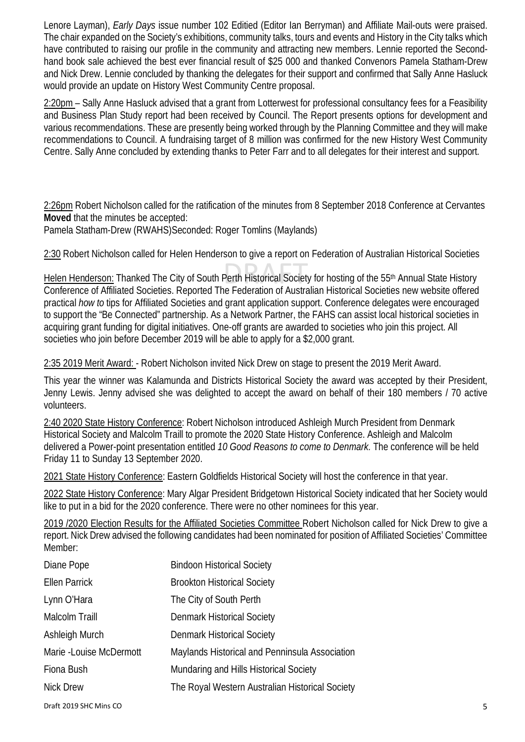Lenore Layman), *Early Days* issue number 102 Editied (Editor Ian Berryman) and Affiliate Mail-outs were praised. The chair expanded on the Society's exhibitions, community talks, tours and events and History in the City talks which have contributed to raising our profile in the community and attracting new members. Lennie reported the Secondhand book sale achieved the best ever financial result of \$25 000 and thanked Convenors Pamela Statham-Drew and Nick Drew. Lennie concluded by thanking the delegates for their support and confirmed that Sally Anne Hasluck would provide an update on History West Community Centre proposal.

2:20pm – Sally Anne Hasluck advised that a grant from Lotterwest for professional consultancy fees for a Feasibility and Business Plan Study report had been received by Council. The Report presents options for development and various recommendations. These are presently being worked through by the Planning Committee and they will make recommendations to Council. A fundraising target of 8 million was confirmed for the new History West Community Centre. Sally Anne concluded by extending thanks to Peter Farr and to all delegates for their interest and support.

2:26pm Robert Nicholson called for the ratification of the minutes from 8 September 2018 Conference at Cervantes **Moved** that the minutes be accepted:

Pamela Statham-Drew (RWAHS)Seconded: Roger Tomlins (Maylands)

2:30 Robert Nicholson called for Helen Henderson to give a report on Federation of Australian Historical Societies

Helen Henderson: Thanked The City of South Perth Historical Society for hosting of the 55<sup>th</sup> Annual State History Conference of Affiliated Societies. Reported The Federation of Australian Historical Societies new website offered practical *how to* tips for Affiliated Societies and grant application support. Conference delegates were encouraged to support the "Be Connected" partnership. As a Network Partner, the FAHS can assist local historical societies in acquiring grant funding for digital initiatives. One-off grants are awarded to societies who join this project. All societies who join before December 2019 will be able to apply for a \$2,000 grant.

2:35 2019 Merit Award: - Robert Nicholson invited Nick Drew on stage to present the 2019 Merit Award.

This year the winner was Kalamunda and Districts Historical Society the award was accepted by their President, Jenny Lewis. Jenny advised she was delighted to accept the award on behalf of their 180 members / 70 active volunteers.

2:40 2020 State History Conference: Robert Nicholson introduced Ashleigh Murch President from Denmark Historical Society and Malcolm Traill to promote the 2020 State History Conference. Ashleigh and Malcolm delivered a Power-point presentation entitled *10 Good Reasons to come to Denmark.* The conference will be held Friday 11 to Sunday 13 September 2020.

2021 State History Conference: Eastern Goldfields Historical Society will host the conference in that year.

2022 State History Conference: Mary Algar President Bridgetown Historical Society indicated that her Society would like to put in a bid for the 2020 conference. There were no other nominees for this year.

2019 /2020 Election Results for the Affiliated Societies Committee Robert Nicholson called for Nick Drew to give a report. Nick Drew advised the following candidates had been nominated for position of Affiliated Societies' Committee Member:

| <b>Bindoon Historical Society</b>               |
|-------------------------------------------------|
| <b>Brookton Historical Society</b>              |
| The City of South Perth                         |
| Denmark Historical Society                      |
| <b>Denmark Historical Society</b>               |
| Maylands Historical and Penninsula Association  |
| Mundaring and Hills Historical Society          |
| The Royal Western Australian Historical Society |
|                                                 |

Draft 2019 SHC Mins CO 5